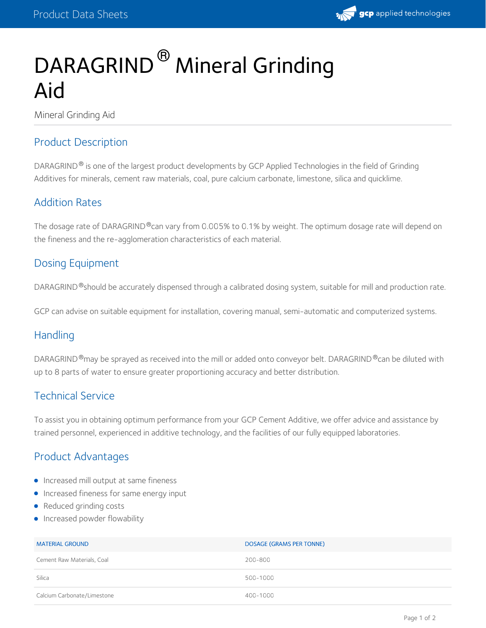

# DARAGRIND<sup>®</sup> Mineral Grinding Aid

Mineral Grinding Aid

#### Product Description

DARAGRIND  $^\circledR$  is one of the largest product developments by GCP Applied Technologies in the field of Grinding Additives for minerals, cement raw materials, coal, pure calcium carbonate, limestone, silica and quicklime.

#### Addition Rates

The dosage rate of DARAGRIND®can vary from 0.005% to 0.1% by weight. The optimum dosage rate will depend on the fineness and the re-agglomeration characteristics of each material.

## Dosing Equipment

DARAGRIND  $^\circ$ should be accurately dispensed through a calibrated dosing system, suitable for mill and production rate.

GCP can advise on suitable equipment for installation, covering manual, semi-automatic and computerized systems.

#### **Handling**

DARAGRIND $^\circ$ may be sprayed as received into the mill or added onto conveyor belt. DARAGRIND $^\circ$ can be diluted with up to 8 parts of water to ensure greater proportioning accuracy and better distribution.

#### Technical Service

To assist you in obtaining optimum performance from your GCP Cement Additive, we offer advice and assistance by trained personnel, experienced in additive technology, and the facilities of our fully equipped laboratories.

#### Product Advantages

- **Increased mill output at same fineness**
- **•** Increased fineness for same energy input
- Reduced grinding costs
- **Increased powder flowability**

| <b>MATERIAL GROUND</b>      | DOSAGE (GRAMS PER TONNE) |
|-----------------------------|--------------------------|
| Cement Raw Materials, Coal  | 200-800                  |
| Silica                      | 500-1000                 |
| Calcium Carbonate/Limestone | 400-1000                 |